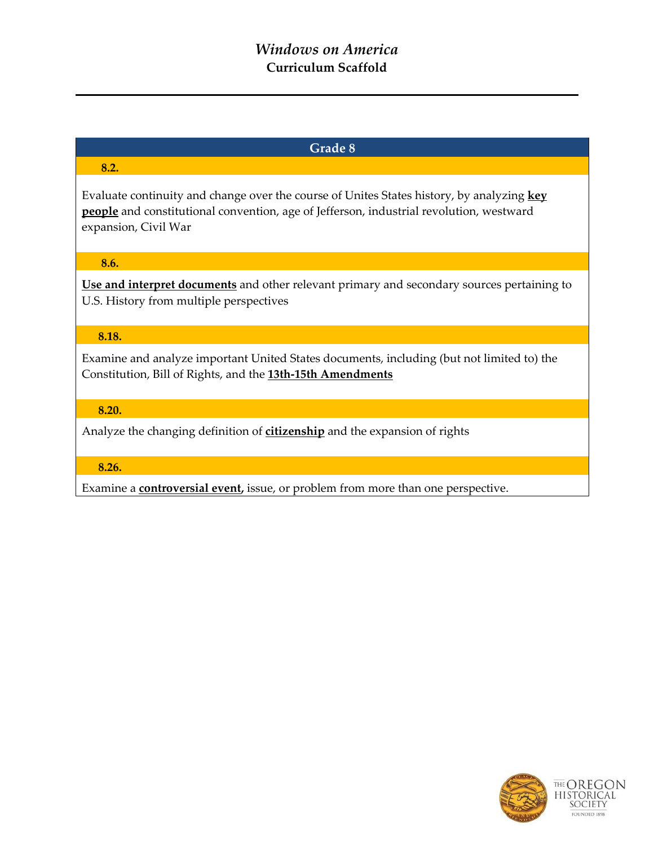# *Windows on America* **Curriculum Scaffold**

# **Grade 8**

# **8.2.**

Evaluate continuity and change over the course of Unites States history, by analyzing **key people** and constitutional convention, age of Jefferson, industrial revolution, westward expansion, Civil War

### **8.6.**

**Use and interpret documents** and other relevant primary and secondary sources pertaining to U.S. History from multiple perspectives

# **8.18.**

Examine and analyze important United States documents, including (but not limited to) the Constitution, Bill of Rights, and the **13th-15th Amendments**

### **8.20.**

Analyze the changing definition of **citizenship** and the expansion of rights

### **8.26.**

Examine a **controversial event,** issue, or problem from more than one perspective.